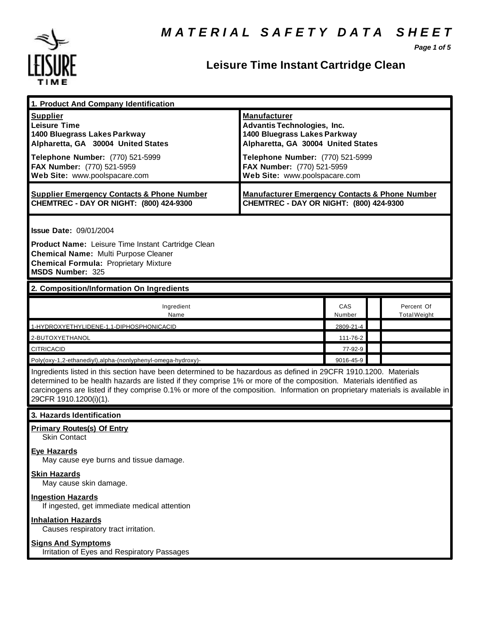

# **Leisure Time Instant Cartridge Clean**

*Page 1 of 5*

| 1. Product And Company Identification                                                                                                                                                                                                                                                                                                                                                             |                                                                                                                                                                                                                                    |               |                                   |  |  |
|---------------------------------------------------------------------------------------------------------------------------------------------------------------------------------------------------------------------------------------------------------------------------------------------------------------------------------------------------------------------------------------------------|------------------------------------------------------------------------------------------------------------------------------------------------------------------------------------------------------------------------------------|---------------|-----------------------------------|--|--|
| <b>Supplier</b><br><b>Leisure Time</b><br>1400 Bluegrass Lakes Parkway<br>Alpharetta, GA 30004 United States<br>Telephone Number: (770) 521-5999<br>FAX Number: (770) 521-5959<br>Web Site: www.poolspacare.com                                                                                                                                                                                   | <b>Manufacturer</b><br><b>Advantis Technologies, Inc.</b><br>1400 Bluegrass Lakes Parkway<br>Alpharetta, GA 30004 United States<br>Telephone Number: (770) 521-5999<br>FAX Number: (770) 521-5959<br>Web Site: www.poolspacare.com |               |                                   |  |  |
| <b>Supplier Emergency Contacts &amp; Phone Number</b><br>CHEMTREC - DAY OR NIGHT: (800) 424-9300                                                                                                                                                                                                                                                                                                  | <b>Manufacturer Emergency Contacts &amp; Phone Number</b><br>CHEMTREC - DAY OR NIGHT: (800) 424-9300                                                                                                                               |               |                                   |  |  |
| <b>Issue Date: 09/01/2004</b><br>Product Name: Leisure Time Instant Cartridge Clean<br><b>Chemical Name: Multi Purpose Cleaner</b><br><b>Chemical Formula: Proprietary Mixture</b><br><b>MSDS Number: 325</b>                                                                                                                                                                                     |                                                                                                                                                                                                                                    |               |                                   |  |  |
| 2. Composition/Information On Ingredients                                                                                                                                                                                                                                                                                                                                                         |                                                                                                                                                                                                                                    |               |                                   |  |  |
| Ingredient<br>Name                                                                                                                                                                                                                                                                                                                                                                                |                                                                                                                                                                                                                                    | CAS<br>Number | Percent Of<br><b>Total Weight</b> |  |  |
| 1-HYDROXYETHYLIDENE-1,1-DIPHOSPHONICACID                                                                                                                                                                                                                                                                                                                                                          |                                                                                                                                                                                                                                    | 2809-21-4     |                                   |  |  |
| 2-BUTOXYETHANOL                                                                                                                                                                                                                                                                                                                                                                                   |                                                                                                                                                                                                                                    | 111-76-2      |                                   |  |  |
| <b>CITRICACID</b>                                                                                                                                                                                                                                                                                                                                                                                 |                                                                                                                                                                                                                                    | 77-92-9       |                                   |  |  |
| Poly(oxy-1,2-ethanediyl),alpha-(nonlyphenyl-omega-hydroxy)-                                                                                                                                                                                                                                                                                                                                       |                                                                                                                                                                                                                                    | 9016-45-9     |                                   |  |  |
| Ingredients listed in this section have been determined to be hazardous as defined in 29CFR 1910.1200. Materials<br>determined to be health hazards are listed if they comprise 1% or more of the composition. Materials identified as<br>carcinogens are listed if they comprise 0.1% or more of the composition. Information on proprietary materials is available in<br>29CFR 1910.1200(i)(1). |                                                                                                                                                                                                                                    |               |                                   |  |  |
| 3. Hazards Identification                                                                                                                                                                                                                                                                                                                                                                         |                                                                                                                                                                                                                                    |               |                                   |  |  |
| <b>Primary Routes(s) Of Entry</b><br><b>Skin Contact</b><br><b>Eye Hazards</b><br>May cause eye burns and tissue damage.                                                                                                                                                                                                                                                                          |                                                                                                                                                                                                                                    |               |                                   |  |  |
| <b>Skin Hazards</b><br>May cause skin damage.                                                                                                                                                                                                                                                                                                                                                     |                                                                                                                                                                                                                                    |               |                                   |  |  |
| <b>Ingestion Hazards</b><br>If ingested, get immediate medical attention                                                                                                                                                                                                                                                                                                                          |                                                                                                                                                                                                                                    |               |                                   |  |  |
| <b>Inhalation Hazards</b><br>Causes respiratory tract irritation.                                                                                                                                                                                                                                                                                                                                 |                                                                                                                                                                                                                                    |               |                                   |  |  |
| <b>Signs And Symptoms</b><br>Irritation of Eyes and Respiratory Passages                                                                                                                                                                                                                                                                                                                          |                                                                                                                                                                                                                                    |               |                                   |  |  |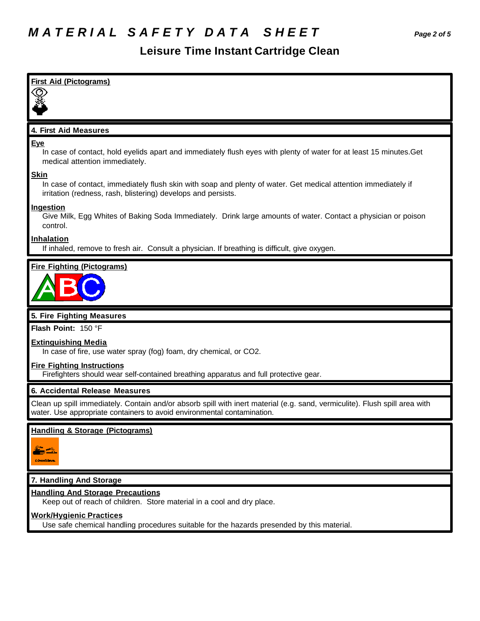# *M A T E R I A L S A F E T Y D A T A S H E E T Page 2 of 5*

# **Leisure Time Instant Cartridge Clean**

| <b>First Aid (Pictograms)</b>                                                                                                                                                                          |
|--------------------------------------------------------------------------------------------------------------------------------------------------------------------------------------------------------|
|                                                                                                                                                                                                        |
|                                                                                                                                                                                                        |
| 4. First Aid Measures                                                                                                                                                                                  |
| <b>Eye</b>                                                                                                                                                                                             |
| In case of contact, hold eyelids apart and immediately flush eyes with plenty of water for at least 15 minutes. Get<br>medical attention immediately.                                                  |
| <b>Skin</b>                                                                                                                                                                                            |
| In case of contact, immediately flush skin with soap and plenty of water. Get medical attention immediately if<br>irritation (redness, rash, blistering) develops and persists.                        |
| Ingestion                                                                                                                                                                                              |
| Give Milk, Egg Whites of Baking Soda Immediately. Drink large amounts of water. Contact a physician or poison<br>control.                                                                              |
| Inhalation                                                                                                                                                                                             |
| If inhaled, remove to fresh air. Consult a physician. If breathing is difficult, give oxygen.                                                                                                          |
| <b>Fire Fighting (Pictograms)</b>                                                                                                                                                                      |
|                                                                                                                                                                                                        |
|                                                                                                                                                                                                        |
|                                                                                                                                                                                                        |
| 5. Fire Fighting Measures                                                                                                                                                                              |
| Flash Point: 150 °F                                                                                                                                                                                    |
| <b>Extinguishing Media</b>                                                                                                                                                                             |
| In case of fire, use water spray (fog) foam, dry chemical, or CO2.                                                                                                                                     |
| <b>Fire Fighting Instructions</b><br>Firefighters should wear self-contained breathing apparatus and full protective gear.                                                                             |
| 6. Accidental Release Measures                                                                                                                                                                         |
| Clean up spill immediately. Contain and/or absorb spill with inert material (e.g. sand, vermiculite). Flush spill area with<br>water. Use appropriate containers to avoid environmental contamination. |
| <b>Handling &amp; Storage (Pictograms)</b>                                                                                                                                                             |
|                                                                                                                                                                                                        |
| <b>CONGERON</b>                                                                                                                                                                                        |
|                                                                                                                                                                                                        |
| 7. Handling And Storage                                                                                                                                                                                |
| <b>Handling And Storage Precautions</b>                                                                                                                                                                |
| Keep out of reach of children. Store material in a cool and dry place.<br><b>Work/Hygienic Practices</b>                                                                                               |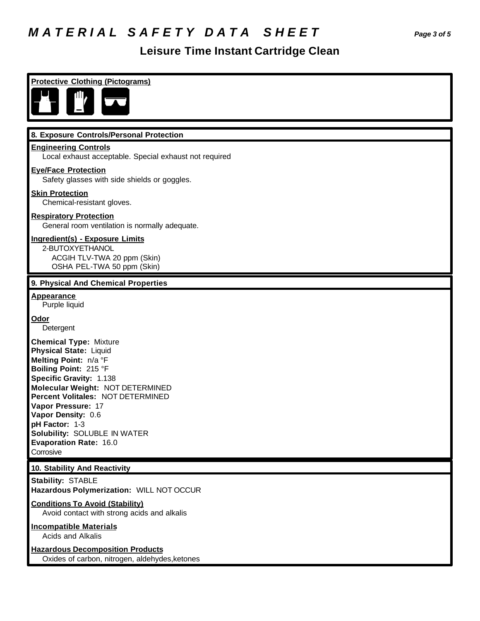# *M A T E R I A L S A F E T Y D A T A S H E E T Page 3 of 5*

## **Leisure Time Instant Cartridge Clean**

| <b>Protective Clothing (Pictograms)</b>                                                                                                                                                                                                                                                                                                                   |  |  |  |  |
|-----------------------------------------------------------------------------------------------------------------------------------------------------------------------------------------------------------------------------------------------------------------------------------------------------------------------------------------------------------|--|--|--|--|
|                                                                                                                                                                                                                                                                                                                                                           |  |  |  |  |
| 8. Exposure Controls/Personal Protection                                                                                                                                                                                                                                                                                                                  |  |  |  |  |
| <b>Engineering Controls</b><br>Local exhaust acceptable. Special exhaust not required                                                                                                                                                                                                                                                                     |  |  |  |  |
| <b>Eye/Face Protection</b><br>Safety glasses with side shields or goggles.                                                                                                                                                                                                                                                                                |  |  |  |  |
| <b>Skin Protection</b><br>Chemical-resistant gloves.                                                                                                                                                                                                                                                                                                      |  |  |  |  |
| <b>Respiratory Protection</b><br>General room ventilation is normally adequate.                                                                                                                                                                                                                                                                           |  |  |  |  |
| Ingredient(s) - Exposure Limits<br>2-BUTOXYETHANOL<br>ACGIH TLV-TWA 20 ppm (Skin)<br>OSHA PEL-TWA 50 ppm (Skin)                                                                                                                                                                                                                                           |  |  |  |  |
| 9. Physical And Chemical Properties                                                                                                                                                                                                                                                                                                                       |  |  |  |  |
| <b>Appearance</b><br>Purple liquid                                                                                                                                                                                                                                                                                                                        |  |  |  |  |
| Odor<br>Detergent                                                                                                                                                                                                                                                                                                                                         |  |  |  |  |
| <b>Chemical Type: Mixture</b><br><b>Physical State: Liquid</b><br>Melting Point: n/a °F<br>Boiling Point: 215 °F<br>Specific Gravity: 1.138<br>Molecular Weight: NOT DETERMINED<br>Percent Volitales: NOT DETERMINED<br>Vapor Pressure: 17<br>Vapor Density: 0.6<br>pH Factor: 1-3<br>Solubility: SOLUBLE IN WATER<br>Evaporation Rate: 16.0<br>Corrosive |  |  |  |  |
| 10. Stability And Reactivity                                                                                                                                                                                                                                                                                                                              |  |  |  |  |
| <b>Stability: STABLE</b><br>Hazardous Polymerization: WILL NOT OCCUR                                                                                                                                                                                                                                                                                      |  |  |  |  |
| <b>Conditions To Avoid (Stability)</b><br>Avoid contact with strong acids and alkalis                                                                                                                                                                                                                                                                     |  |  |  |  |
| <b>Incompatible Materials</b><br><b>Acids and Alkalis</b>                                                                                                                                                                                                                                                                                                 |  |  |  |  |
| <b>Hazardous Decomposition Products</b><br>Oxides of carbon, nitrogen, aldehydes, ketones                                                                                                                                                                                                                                                                 |  |  |  |  |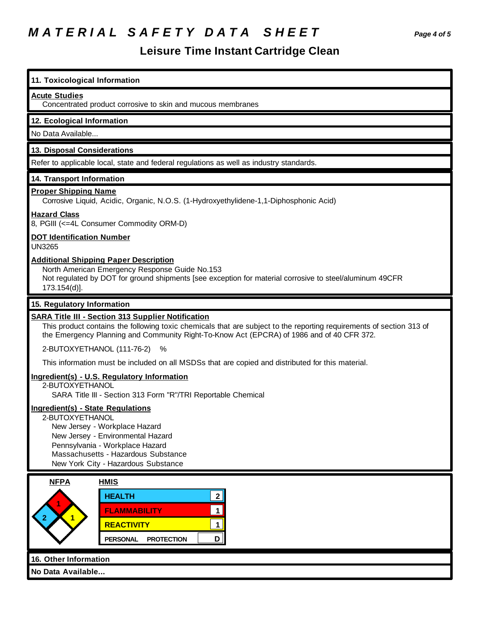# *M A T E R I A L S A F E T Y D A T A S H E E T Page 4 of 5*

### **Leisure Time Instant Cartridge Clean**

#### **11. Toxicological Information**

#### **Acute Studies**

Concentrated product corrosive to skin and mucous membranes

#### **12. Ecological Information**

No Data Available...

#### **13. Disposal Considerations**

Refer to applicable local, state and federal regulations as well as industry standards.

#### **14. Transport Information**

#### **Proper Shipping Name**

Corrosive Liquid, Acidic, Organic, N.O.S. (1-Hydroxyethylidene-1,1-Diphosphonic Acid)

#### **Hazard Class**

8, PGIII (<=4L Consumer Commodity ORM-D)

#### **DOT Identification Number**

UN3265

#### **Additional Shipping Paper Description**

North American Emergency Response Guide No.153

Not regulated by DOT for ground shipments [see exception for material corrosive to steel/aluminum 49CFR 173.154(d)].

#### **15. Regulatory Information**

#### **SARA Title III - Section 313 Supplier Notification**

This product contains the following toxic chemicals that are subject to the reporting requirements of section 313 of the Emergency Planning and Community Right-To-Know Act (EPCRA) of 1986 and of 40 CFR 372.

2-BUTOXYETHANOL (111-76-2) %

This information must be included on all MSDSs that are copied and distributed for this material.

#### **Ingredient(s) - U.S. Regulatory Information**

2-BUTOXYETHANOL SARA Title III - Section 313 Form "R"/TRI Reportable Chemical

#### **Ingredient(s) - State Regulations**

2-BUTOXYETHANOL

 New Jersey - Workplace Hazard New Jersey - Environmental Hazard Pennsylvania - Workplace Hazard Massachusetts - Hazardous Substance New York City - Hazardous Substance

| <b>NFPA</b>           | <b>HMIS</b>                          |   |  |
|-----------------------|--------------------------------------|---|--|
| ≘                     | <b>HEALTH</b>                        | ົ |  |
|                       | <b>FLAMMABILITY</b>                  |   |  |
|                       | <b>REACTIVITY</b>                    |   |  |
|                       | <b>PERSONAL</b><br><b>PROTECTION</b> | D |  |
| 16. Other Information |                                      |   |  |
| No Data Available     |                                      |   |  |